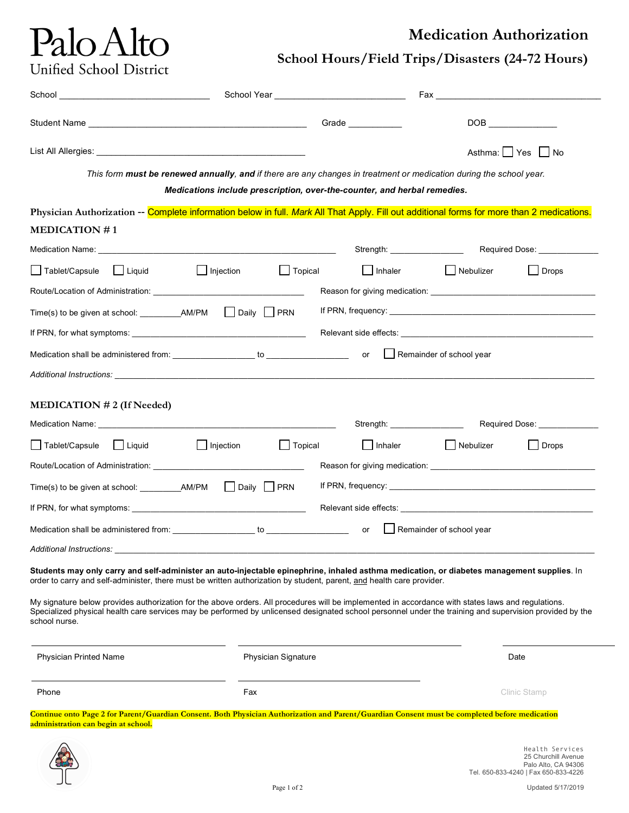## Palo Alto Unified School District

### **Medication Authorization**

**School Hours/Field Trips/Disasters (24-72 Hours)**

|                                                                                                                                                                                                                                                                                                                                |                            | Grade ____________             |                                                  | DOB <b>DOB</b>                |  |
|--------------------------------------------------------------------------------------------------------------------------------------------------------------------------------------------------------------------------------------------------------------------------------------------------------------------------------|----------------------------|--------------------------------|--------------------------------------------------|-------------------------------|--|
|                                                                                                                                                                                                                                                                                                                                |                            |                                | Asthma: Yes No                                   |                               |  |
| This form must be renewed annually, and if there are any changes in treatment or medication during the school year.<br>Medications include prescription, over-the-counter, and herbal remedies.                                                                                                                                |                            |                                |                                                  |                               |  |
| Physician Authorization -- Complete information below in full. Mark All That Apply. Fill out additional forms for more than 2 medications.<br><b>MEDICATION #1</b>                                                                                                                                                             |                            |                                |                                                  |                               |  |
|                                                                                                                                                                                                                                                                                                                                |                            |                                |                                                  |                               |  |
| Tablet/Capsule Liquid<br>$\vert$   Injection                                                                                                                                                                                                                                                                                   | $\Box$ Topical             | $\Box$ Inhaler                 | Nebulizer                                        | Drops                         |  |
|                                                                                                                                                                                                                                                                                                                                |                            |                                |                                                  |                               |  |
|                                                                                                                                                                                                                                                                                                                                |                            |                                |                                                  |                               |  |
|                                                                                                                                                                                                                                                                                                                                |                            |                                |                                                  |                               |  |
|                                                                                                                                                                                                                                                                                                                                |                            |                                | $\lfloor \cdot \rfloor$ Remainder of school year |                               |  |
|                                                                                                                                                                                                                                                                                                                                |                            |                                |                                                  |                               |  |
| MEDICATION $# 2$ (If Needed)<br>Medication Name: Website and Contract the Contract of the Contract of the Contract of the Contract of the Contract of the Contract of the Contract of the Contract of the Contract of the Contract of the Contract of the Cont                                                                 |                            | Strength: ____________________ |                                                  | Required Dose: ______________ |  |
| <b>Sommunified Trade</b> Trablet/Capsule Liquid<br>$\Box$ Injection                                                                                                                                                                                                                                                            | $\Box$ Topical             | $\Box$ Inhaler                 | Nebulizer                                        | $\Box$ Drops                  |  |
|                                                                                                                                                                                                                                                                                                                                |                            |                                |                                                  |                               |  |
|                                                                                                                                                                                                                                                                                                                                |                            |                                |                                                  |                               |  |
|                                                                                                                                                                                                                                                                                                                                |                            |                                |                                                  |                               |  |
| Medication shall be administered from: to the top of the control of the control of the control of the control of the control of the control of the control of the control of the control of the control of the control of the                                                                                                  |                            |                                | $\Box$ Remainder of school year                  |                               |  |
| Additional Instructions:                                                                                                                                                                                                                                                                                                       |                            |                                |                                                  |                               |  |
| Students may only carry and self-administer an auto-injectable epinephrine, inhaled asthma medication, or diabetes management supplies. In<br>order to carry and self-administer, there must be written authorization by student, parent, and health care provider.                                                            |                            |                                |                                                  |                               |  |
| My signature below provides authorization for the above orders. All procedures will be implemented in accordance with states laws and regulations.<br>Specialized physical health care services may be performed by unlicensed designated school personnel under the training and supervision provided by the<br>school nurse. |                            |                                |                                                  |                               |  |
| <b>Physician Printed Name</b>                                                                                                                                                                                                                                                                                                  | <b>Physician Signature</b> |                                |                                                  | Date                          |  |
| Phone                                                                                                                                                                                                                                                                                                                          | Fax                        |                                |                                                  | Clinic Stamp                  |  |
| Continue onto Page 2 for Parent/Guardian Consent. Both Physician Authorization and Parent/Guardian Consent must be completed before medication<br>administration can begin at school.                                                                                                                                          |                            |                                |                                                  |                               |  |